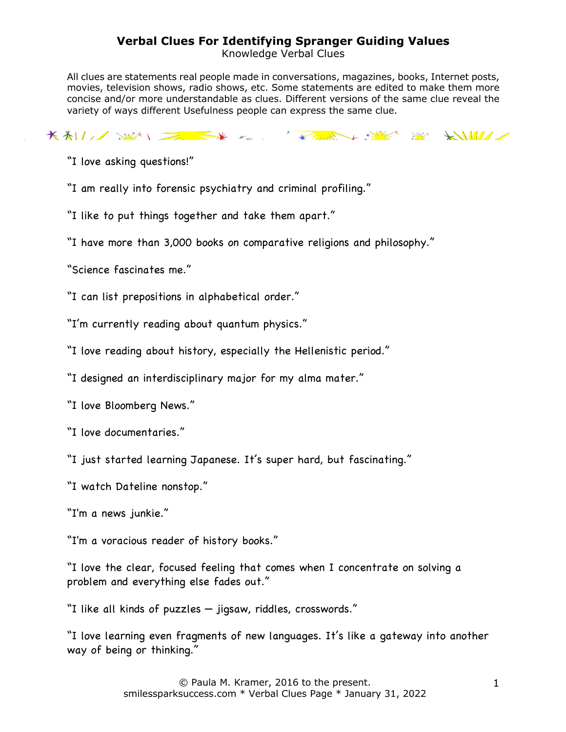## **Verbal Clues For Identifying Spranger Guiding Values**

Knowledge Verbal Clues

All clues are statements real people made in conversations, magazines, books, Internet posts, movies, television shows, radio shows, etc. Some statements are edited to make them more concise and/or more understandable as clues. Different versions of the same clue reveal the variety of ways different Usefulness people can express the same clue.

KALLASIN DE EX KL. KAREL SING SING KULLA

"I love asking questions!"

"I am really into forensic psychiatry and criminal profiling."

"I like to put things together and take them apart."

"I have more than 3,000 books on comparative religions and philosophy."

"Science fascinates me."

"I can list prepositions in alphabetical order."

"I'm currently reading about quantum physics."

"I love reading about history, especially the Hellenistic period."

"I designed an interdisciplinary major for my alma mater."

"I love Bloomberg News."

"I love documentaries."

"I just started learning Japanese. It's super hard, but fascinating."

"I watch Dateline nonstop."

"I'm a news junkie."

"I'm a voracious reader of history books."

"I love the clear, focused feeling that comes when I concentrate on solving a problem and everything else fades out."

"I like all kinds of puzzles — jigsaw, riddles, crosswords."

"I love learning even fragments of new languages. It's like a gateway into another way of being or thinking."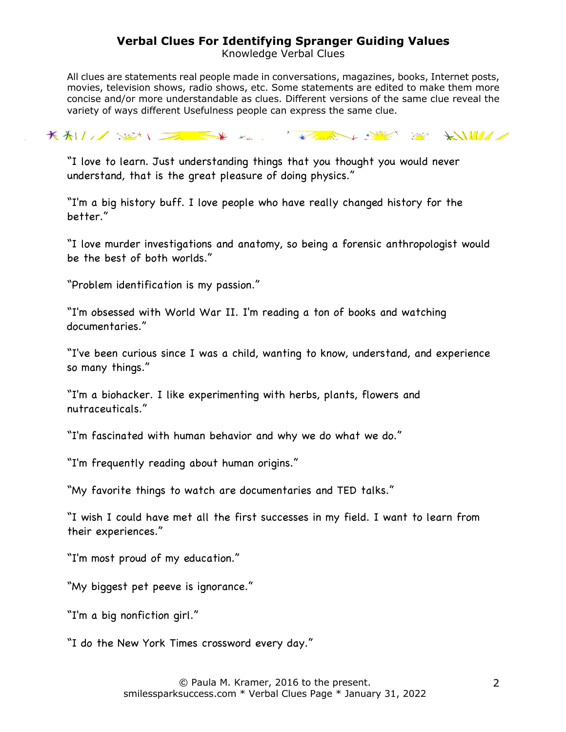## **Verbal Clues For Identifying Spranger Guiding Values**

Knowledge Verbal Clues

All clues are statements real people made in conversations, magazines, books, Internet posts, movies, television shows, radio shows, etc. Some statements are edited to make them more concise and/or more understandable as clues. Different versions of the same clue reveal the variety of ways different Usefulness people can express the same clue.

KALLASIN DE KK KK KAMPA NY YA KUWAZ

"I love to learn. Just understanding things that you thought you would never understand, that is the great pleasure of doing physics."

"I'm a big history buff. I love people who have really changed history for the better."

"I love murder investigations and anatomy, so being a forensic anthropologist would be the best of both worlds."

"Problem identification is my passion."

"I'm obsessed with World War II. I'm reading a ton of books and watching documentaries."

"I've been curious since I was a child, wanting to know, understand, and experience so many things."

"I'm a biohacker. I like experimenting with herbs, plants, flowers and nutraceuticals."

"I'm fascinated with human behavior and why we do what we do."

"I'm frequently reading about human origins."

"My favorite things to watch are documentaries and TED talks."

"I wish I could have met all the first successes in my field. I want to learn from their experiences."

"I'm most proud of my education."

"My biggest pet peeve is ignorance."

"I'm a big nonfiction girl."

"I do the New York Times crossword every day."